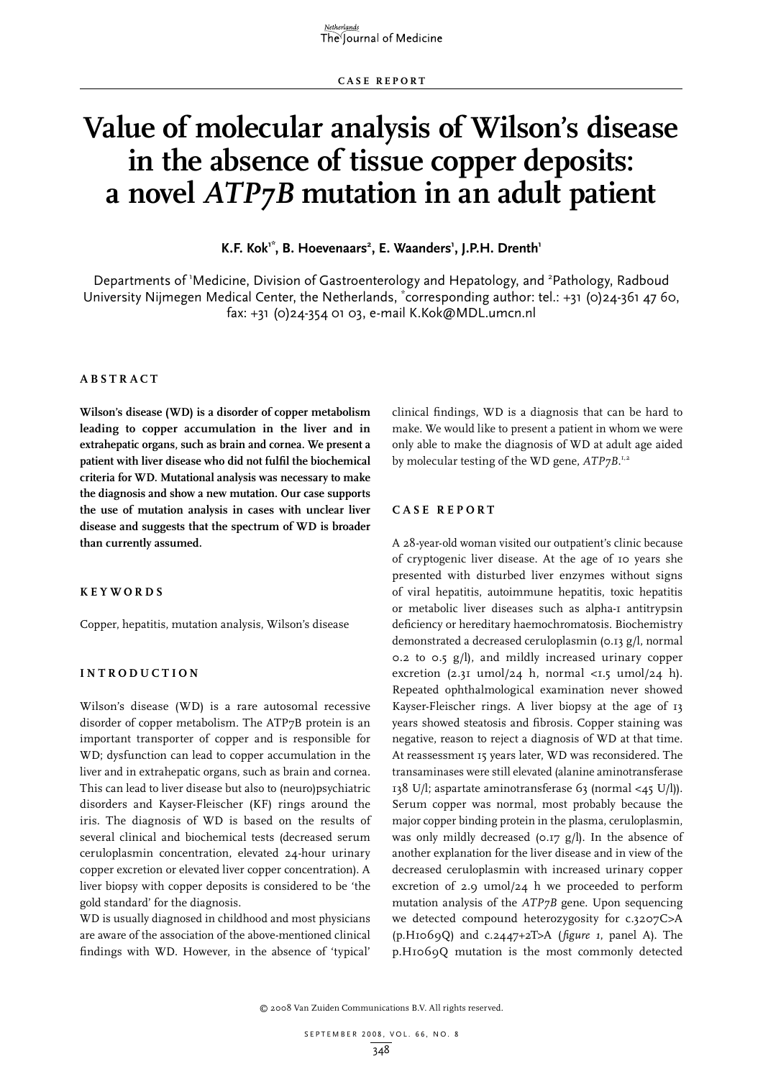# **Value of molecular analysis of Wilson's disease in the absence of tissue copper deposits: a novel** *ATP7B* **mutation in an adult patient**

K.F. Kok<sup>1\*</sup>, B. Hoevenaars<sup>2</sup>, E. Waanders<sup>1</sup>, J.P.H. Drenth<sup>1</sup>

Departments of 'Medicine, Division of Gastroenterology and Hepatology, and <sup>2</sup>Pathology, Radboud University Nijmegen Medical Center, the Netherlands, "corresponding author: tel.: +31 (0)24-361 47 60, fax: +31 (0)24-354 01 03, e-mail K.Kok@MDL.umcn.nl

#### **Abs t r act**

**Wilson's disease (WD) is a disorder of copper metabolism leading to copper accumulation in the liver and in extrahepatic organs, such as brain and cornea. We present a patient with liver disease who did not fulfil the biochemical criteria for WD. Mutational analysis was necessary to make the diagnosis and show a new mutation. Our case supports the use of mutation analysis in cases with unclear liver disease and suggests that the spectrum of WD is broader than currently assumed.** 

#### **KEYWORDS**

Copper, hepatitis, mutation analysis, Wilson's disease

#### **Int rod uct i o n**

Wilson's disease (WD) is a rare autosomal recessive disorder of copper metabolism. The ATP7B protein is an important transporter of copper and is responsible for WD; dysfunction can lead to copper accumulation in the liver and in extrahepatic organs, such as brain and cornea. This can lead to liver disease but also to (neuro)psychiatric disorders and Kayser-Fleischer (KF) rings around the iris. The diagnosis of WD is based on the results of several clinical and biochemical tests (decreased serum ceruloplasmin concentration, elevated 24-hour urinary copper excretion or elevated liver copper concentration). A liver biopsy with copper deposits is considered to be 'the gold standard' for the diagnosis.

WD is usually diagnosed in childhood and most physicians are aware of the association of the above-mentioned clinical findings with WD. However, in the absence of 'typical' clinical findings, WD is a diagnosis that can be hard to make. We would like to present a patient in whom we were only able to make the diagnosis of WD at adult age aided by molecular testing of the WD gene,  $ATP_7B$ .<sup>1,2</sup>

#### **C a s e r ep o r t**

A 28-year-old woman visited our outpatient's clinic because of cryptogenic liver disease. At the age of 10 years she presented with disturbed liver enzymes without signs of viral hepatitis, autoimmune hepatitis, toxic hepatitis or metabolic liver diseases such as alpha-1 antitrypsin deficiency or hereditary haemochromatosis. Biochemistry demonstrated a decreased ceruloplasmin (0.13 g/l, normal 0.2 to 0.5 g/l), and mildly increased urinary copper excretion (2.31 umol/24 h, normal <1.5 umol/24 h). Repeated ophthalmological examination never showed Kayser-Fleischer rings. A liver biopsy at the age of 13 years showed steatosis and fibrosis. Copper staining was negative, reason to reject a diagnosis of WD at that time. At reassessment 15 years later, WD was reconsidered. The transaminases were still elevated (alanine aminotransferase 138 U/l; aspartate aminotransferase 63 (normal <45 U/l)). Serum copper was normal, most probably because the major copper binding protein in the plasma, ceruloplasmin, was only mildly decreased (0.17 g/l). In the absence of another explanation for the liver disease and in view of the decreased ceruloplasmin with increased urinary copper excretion of 2.9 umol/24 h we proceeded to perform mutation analysis of the *ATP7B* gene. Upon sequencing we detected compound heterozygosity for c.3207C>A (p.H1069Q) and c.2447+2T>A (*figure 1*, panel A). The p.H1069Q mutation is the most commonly detected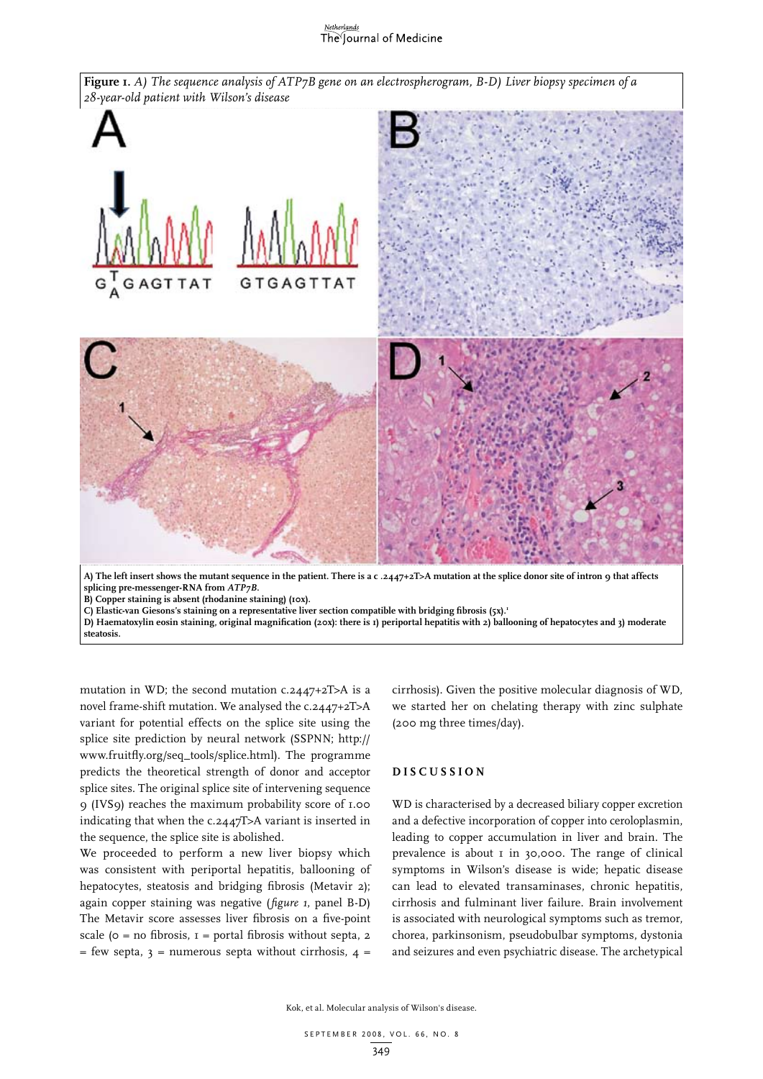# The Journal of Medicine



**Figure 1.** *A) The sequence analysis of ATP7B gene on an electrospherogram, B-D) Liver biopsy specimen of a* 

**A) The left insert shows the mutant sequence in the patient. There is a c .2447+2T>A mutation at the splice donor site of intron 9 that affects splicing pre-messenger-RNA from** *ATP7B***.**

**B)** Copper staining is absent (rhodanine staining) (10x).

C) Elastic-van Giesons's staining on a representative liver section compatible with bridging fibrosis (5x).<sup>1</sup>

**D) Haematoxylin eosin staining, original magnification (20x): there is 1) periportal hepatitis with 2) ballooning of hepatocytes and 3) moderate steatosis.**

mutation in WD; the second mutation c.2447+2T>A is a novel frame-shift mutation. We analysed the c.2447+2T>A variant for potential effects on the splice site using the splice site prediction by neural network (SSPNN; http:// www.fruitfly.org/seq\_tools/splice.html). The programme predicts the theoretical strength of donor and acceptor splice sites. The original splice site of intervening sequence 9 (IVS9) reaches the maximum probability score of 1.00 indicating that when the c.2447T>A variant is inserted in the sequence, the splice site is abolished.

We proceeded to perform a new liver biopsy which was consistent with periportal hepatitis, ballooning of hepatocytes, steatosis and bridging fibrosis (Metavir 2); again copper staining was negative (*figure 1*, panel B-D) The Metavir score assesses liver fibrosis on a five-point scale ( $o = no$  fibrosis,  $I =$  portal fibrosis without septa, 2  $=$  few septa, 3 = numerous septa without cirrhosis, 4 =

cirrhosis). Given the positive molecular diagnosis of WD, we started her on chelating therapy with zinc sulphate (200 mg three times/day).

## **D i s cu ssio n**

WD is characterised by a decreased biliary copper excretion and a defective incorporation of copper into ceroloplasmin, leading to copper accumulation in liver and brain. The prevalence is about 1 in 30,000. The range of clinical symptoms in Wilson's disease is wide; hepatic disease can lead to elevated transaminases, chronic hepatitis, cirrhosis and fulminant liver failure. Brain involvement is associated with neurological symptoms such as tremor, chorea, parkinsonism, pseudobulbar symptoms, dystonia and seizures and even psychiatric disease. The archetypical